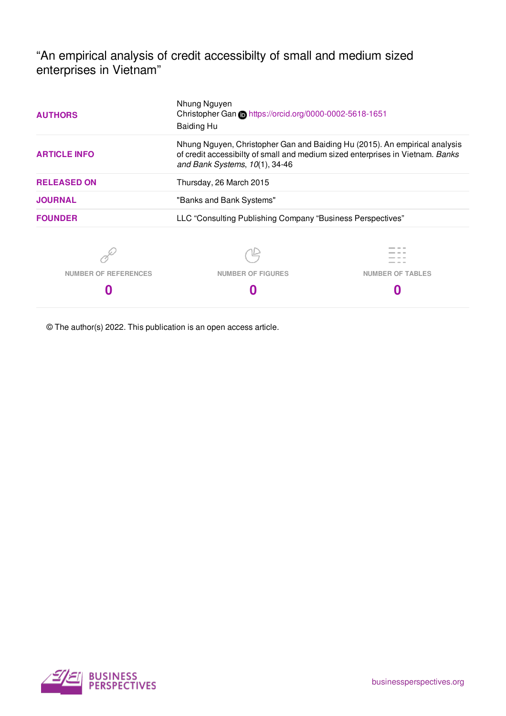"An empirical analysis of credit accessibilty of small and medium sized enterprises in Vietnam"

| <b>AUTHORS</b>                                                                                                                                                                                                           | Nhung Nguyen<br>Christopher Gan Chttps://orcid.org/0000-0002-5618-1651<br><b>Baiding Hu</b> |                         |  |  |  |  |
|--------------------------------------------------------------------------------------------------------------------------------------------------------------------------------------------------------------------------|---------------------------------------------------------------------------------------------|-------------------------|--|--|--|--|
| Nhung Nguyen, Christopher Gan and Baiding Hu (2015). An empirical analysis<br>of credit accessibilty of small and medium sized enterprises in Vietnam. Banks<br><b>ARTICLE INFO</b><br>and Bank Systems, $10(1)$ , 34-46 |                                                                                             |                         |  |  |  |  |
| <b>RELEASED ON</b><br>Thursday, 26 March 2015                                                                                                                                                                            |                                                                                             |                         |  |  |  |  |
| <b>JOURNAL</b>                                                                                                                                                                                                           | "Banks and Bank Systems"                                                                    |                         |  |  |  |  |
| <b>FOUNDER</b>                                                                                                                                                                                                           | LLC "Consulting Publishing Company "Business Perspectives"                                  |                         |  |  |  |  |
|                                                                                                                                                                                                                          |                                                                                             |                         |  |  |  |  |
| <b>NUMBER OF REFERENCES</b>                                                                                                                                                                                              | <b>NUMBER OF FIGURES</b>                                                                    | <b>NUMBER OF TABLES</b> |  |  |  |  |
|                                                                                                                                                                                                                          |                                                                                             |                         |  |  |  |  |

© The author(s) 2022. This publication is an open access article.

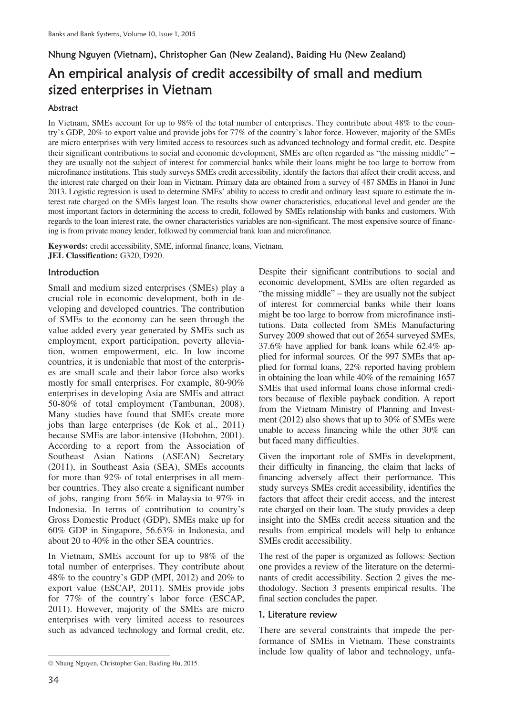# Nhung Nguyen (Vietnam), Christopher Gan (New Zealand), Baiding Hu (New Zealand) An empirical analysis of credit accessibilty of small and medium sized enterprises in Vietnam

# Abstract

In Vietnam, SMEs account for up to 98% of the total number of enterprises. They contribute about 48% to the country's GDP, 20% to export value and provide jobs for 77% of the country's labor force. However, majority of the SMEs are micro enterprises with very limited access to resources such as advanced technology and formal credit, etc. Despite their significant contributions to social and economic development, SMEs are often regarded as "the missing middle" they are usually not the subject of interest for commercial banks while their loans might be too large to borrow from microfinance institutions. This study surveys SMEs credit accessibility, identify the factors that affect their credit access, and the interest rate charged on their loan in Vietnam. Primary data are obtained from a survey of 487 SMEs in Hanoi in June 2013. Logistic regression is used to determine SMEs' ability to access to credit and ordinary least square to estimate the interest rate charged on the SMEs largest loan. The results show owner characteristics, educational level and gender are the most important factors in determining the access to credit, followed by SMEs relationship with banks and customers. With regards to the loan interest rate, the owner characteristics variables are non-significant. The most expensive source of financing is from private money lender, followed by commercial bank loan and microfinance.

**Keywords:** credit accessibility, SME, informal finance, loans, Vietnam. **JEL Classification:** G320, D920.

# **Introduction**

Small and medium sized enterprises (SMEs) play a crucial role in economic development, both in developing and developed countries. The contribution of SMEs to the economy can be seen through the value added every year generated by SMEs such as employment, export participation, poverty alleviation, women empowerment, etc. In low income countries, it is undeniable that most of the enterprises are small scale and their labor force also works mostly for small enterprises. For example, 80-90% enterprises in developing Asia are SMEs and attract 50-80% of total employment (Tambunan, 2008). Many studies have found that SMEs create more jobs than large enterprises (de Kok et al., 2011) because SMEs are labor-intensive (Hobohm, 2001). According to a report from the Association of Southeast Asian Nations (ASEAN) Secretary (2011), in Southeast Asia (SEA), SMEs accounts for more than 92% of total enterprises in all member countries. They also create a significant number of jobs, ranging from 56% in Malaysia to 97% in Indonesia. In terms of contribution to country's Gross Domestic Product (GDP), SMEs make up for 60% GDP in Singapore, 56.63% in Indonesia, and about 20 to 40% in the other SEA countries.

In Vietnam, SMEs account for up to 98% of the total number of enterprises. They contribute about 48% to the country's GDP (MPI, 2012) and 20% to export value (ESCAP, 2011). SMEs provide jobs for 77% of the country's labor force (ESCAP, 2011). However, majority of the SMEs are micro enterprises with very limited access to resources such as advanced technology and formal credit, etc.

Despite their significant contributions to social and economic development, SMEs are often regarded as "the missing middle"  $-$  they are usually not the subject of interest for commercial banks while their loans might be too large to borrow from microfinance institutions. Data collected from SMEs Manufacturing Survey 2009 showed that out of 2654 surveyed SMEs, 37.6% have applied for bank loans while 62.4% applied for informal sources. Of the 997 SMEs that applied for formal loans, 22% reported having problem in obtaining the loan while 40% of the remaining 1657 SMEs that used informal loans chose informal creditors because of flexible payback condition. A report from the Vietnam Ministry of Planning and Investment (2012) also shows that up to 30% of SMEs were unable to access financing while the other 30% can but faced many difficulties.

Given the important role of SMEs in development, their difficulty in financing, the claim that lacks of financing adversely affect their performance. This study surveys SMEs credit accessibility, identifies the factors that affect their credit access, and the interest rate charged on their loan. The study provides a deep insight into the SMEs credit access situation and the results from empirical models will help to enhance SMEs credit accessibility.

The rest of the paper is organized as follows: Section one provides a review of the literature on the determinants of credit accessibility. Section 2 gives the methodology. Section 3 presents empirical results. The final section concludes the paper.

#### 1. Literature review

There are several constraints that impede the performance of SMEs in Vietnam. These constraints include low quality of labor and technology, unfa-

 $\overline{a}$  $©$  Nhung Nguyen, Christopher Gan, Baiding Hu, 2015.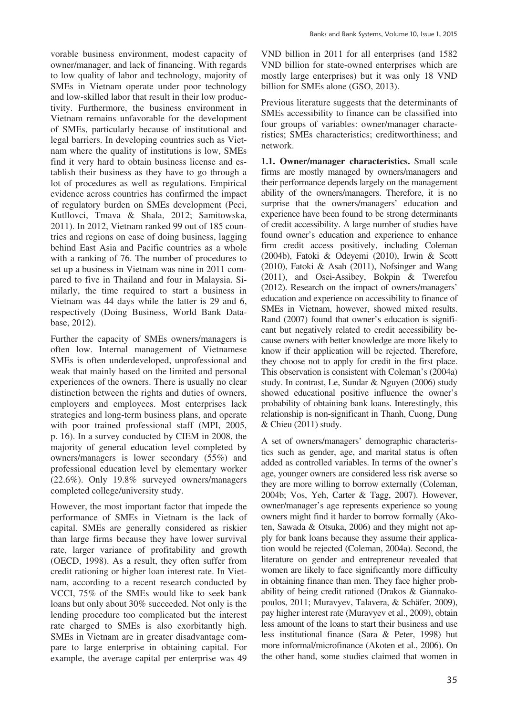vorable business environment, modest capacity of owner/manager, and lack of financing. With regards to low quality of labor and technology, majority of SMEs in Vietnam operate under poor technology and low-skilled labor that result in their low productivity. Furthermore, the business environment in Vietnam remains unfavorable for the development of SMEs, particularly because of institutional and legal barriers. In developing countries such as Vietnam where the quality of institutions is low, SMEs find it very hard to obtain business license and establish their business as they have to go through a lot of procedures as well as regulations. Empirical evidence across countries has confirmed the impact of regulatory burden on SMEs development (Peci, Kutllovci, Tmava & Shala, 2012; Samitowska, 2011). In 2012, Vietnam ranked 99 out of 185 countries and regions on ease of doing business, lagging behind East Asia and Pacific countries as a whole with a ranking of 76. The number of procedures to set up a business in Vietnam was nine in 2011 compared to five in Thailand and four in Malaysia. Similarly, the time required to start a business in Vietnam was 44 days while the latter is 29 and 6, respectively (Doing Business, World Bank Database, 2012).

Further the capacity of SMEs owners/managers is often low. Internal management of Vietnamese SMEs is often underdeveloped, unprofessional and weak that mainly based on the limited and personal experiences of the owners. There is usually no clear distinction between the rights and duties of owners, employers and employees. Most enterprises lack strategies and long-term business plans, and operate with poor trained professional staff (MPI, 2005, p. 16). In a survey conducted by CIEM in 2008, the majority of general education level completed by owners/managers is lower secondary (55%) and professional education level by elementary worker (22.6%). Only 19.8% surveyed owners/managers completed college/university study.

However, the most important factor that impede the performance of SMEs in Vietnam is the lack of capital. SMEs are generally considered as riskier than large firms because they have lower survival rate, larger variance of profitability and growth (OECD, 1998). As a result, they often suffer from credit rationing or higher loan interest rate. In Vietnam, according to a recent research conducted by VCCI, 75% of the SMEs would like to seek bank loans but only about 30% succeeded. Not only is the lending procedure too complicated but the interest rate charged to SMEs is also exorbitantly high. SMEs in Vietnam are in greater disadvantage compare to large enterprise in obtaining capital. For example, the average capital per enterprise was 49 VND billion in 2011 for all enterprises (and 1582 VND billion for state-owned enterprises which are mostly large enterprises) but it was only 18 VND billion for SMEs alone (GSO, 2013).

Previous literature suggests that the determinants of SMEs accessibility to finance can be classified into four groups of variables: owner/manager characteristics; SMEs characteristics; creditworthiness; and network.

**1.1. Owner/manager characteristics.** Small scale firms are mostly managed by owners/managers and their performance depends largely on the management ability of the owners/managers. Therefore, it is no surprise that the owners/managers' education and experience have been found to be strong determinants of credit accessibility. A large number of studies have found owner's education and experience to enhance firm credit access positively, including Coleman (2004b), Fatoki & Odeyemi (2010), Irwin & Scott (2010), Fatoki & Asah (2011), Nofsinger and Wang (2011), and Osei-Assibey, Bokpin & Twerefou (2012). Research on the impact of owners/managers' education and experience on accessibility to finance of SMEs in Vietnam, however, showed mixed results. Rand (2007) found that owner's education is significant but negatively related to credit accessibility because owners with better knowledge are more likely to know if their application will be rejected. Therefore, they choose not to apply for credit in the first place. This observation is consistent with Coleman's (2004a) study. In contrast, Le, Sundar & Nguyen (2006) study showed educational positive influence the owner's probability of obtaining bank loans. Interestingly, this relationship is non-significant in Thanh, Cuong, Dung & Chieu (2011) study.

A set of owners/managers' demographic characteristics such as gender, age, and marital status is often added as controlled variables. In terms of the owner's age, younger owners are considered less risk averse so they are more willing to borrow externally (Coleman, 2004b; Vos, Yeh, Carter & Tagg, 2007). However, owner/manager's age represents experience so young owners might find it harder to borrow formally (Akoten, Sawada & Otsuka, 2006) and they might not apply for bank loans because they assume their application would be rejected (Coleman, 2004a). Second, the literature on gender and entrepreneur revealed that women are likely to face significantly more difficulty in obtaining finance than men. They face higher probability of being credit rationed (Drakos & Giannakopoulos, 2011; Muravyev, Talavera, & Schäfer, 2009), pay higher interest rate (Muravyev et al., 2009), obtain less amount of the loans to start their business and use less institutional finance (Sara & Peter, 1998) but more informal/microfinance (Akoten et al., 2006). On the other hand, some studies claimed that women in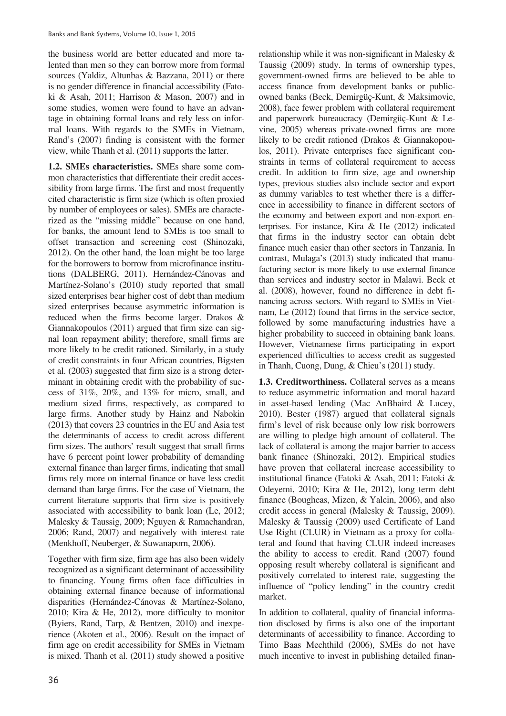the business world are better educated and more talented than men so they can borrow more from formal sources (Yaldiz, Altunbas & Bazzana, 2011) or there is no gender difference in financial accessibility (Fatoki & Asah, 2011; Harrison & Mason, 2007) and in some studies, women were found to have an advantage in obtaining formal loans and rely less on informal loans. With regards to the SMEs in Vietnam, Rand's (2007) finding is consistent with the former view, while Thanh et al. (2011) supports the latter.

**1.2. SMEs characteristics.** SMEs share some common characteristics that differentiate their credit accessibility from large firms. The first and most frequently cited characteristic is firm size (which is often proxied by number of employees or sales). SMEs are characterized as the "missing middle" because on one hand, for banks, the amount lend to SMEs is too small to offset transaction and screening cost (Shinozaki, 2012). On the other hand, the loan might be too large for the borrowers to borrow from microfinance institutions (DALBERG, 2011). Hernández-Cánovas and Martínez-Solano's (2010) study reported that small sized enterprises bear higher cost of debt than medium sized enterprises because asymmetric information is reduced when the firms become larger. Drakos & Giannakopoulos (2011) argued that firm size can signal loan repayment ability; therefore, small firms are more likely to be credit rationed. Similarly, in a study of credit constraints in four African countries, Bigsten et al. (2003) suggested that firm size is a strong determinant in obtaining credit with the probability of success of 31%, 20%, and 13% for micro, small, and medium sized firms, respectively, as compared to large firms. Another study by Hainz and Nabokin (2013) that covers 23 countries in the EU and Asia test the determinants of access to credit across different firm sizes. The authors' result suggest that small firms have 6 percent point lower probability of demanding external finance than larger firms, indicating that small firms rely more on internal finance or have less credit demand than large firms. For the case of Vietnam, the current literature supports that firm size is positively associated with accessibility to bank loan (Le, 2012; Malesky & Taussig, 2009; Nguyen & Ramachandran, 2006; Rand, 2007) and negatively with interest rate (Menkhoff, Neuberger, & Suwanaporn, 2006).

Together with firm size, firm age has also been widely recognized as a significant determinant of accessibility to financing. Young firms often face difficulties in obtaining external finance because of informational disparities (Hernández-Cánovas & Martínez-Solano, 2010; Kira & He, 2012), more difficulty to monitor (Byiers, Rand, Tarp, & Bentzen, 2010) and inexperience (Akoten et al., 2006). Result on the impact of firm age on credit accessibility for SMEs in Vietnam is mixed. Thanh et al. (2011) study showed a positive

relationship while it was non-significant in Malesky & Taussig (2009) study. In terms of ownership types, government-owned firms are believed to be able to access finance from development banks or publicowned banks (Beck, Demirgüç-Kunt, & Maksimovic, 2008), face fewer problem with collateral requirement and paperwork bureaucracy (Demirgüç-Kunt & Levine, 2005) whereas private-owned firms are more likely to be credit rationed (Drakos & Giannakopoulos, 2011). Private enterprises face significant constraints in terms of collateral requirement to access credit. In addition to firm size, age and ownership types, previous studies also include sector and export as dummy variables to test whether there is a difference in accessibility to finance in different sectors of the economy and between export and non-export enterprises. For instance, Kira & He (2012) indicated that firms in the industry sector can obtain debt finance much easier than other sectors in Tanzania. In contrast, Mulaga's (2013) study indicated that manufacturing sector is more likely to use external finance than services and industry sector in Malawi. Beck et al. (2008), however, found no difference in debt financing across sectors. With regard to SMEs in Vietnam, Le (2012) found that firms in the service sector, followed by some manufacturing industries have a higher probability to succeed in obtaining bank loans. However, Vietnamese firms participating in export experienced difficulties to access credit as suggested in Thanh, Cuong, Dung, & Chieu's (2011) study.

**1.3. Creditworthiness.** Collateral serves as a means to reduce asymmetric information and moral hazard in asset-based lending (Mac AnBhaird & Lucey, 2010). Bester (1987) argued that collateral signals firm's level of risk because only low risk borrowers are willing to pledge high amount of collateral. The lack of collateral is among the major barrier to access bank finance (Shinozaki, 2012). Empirical studies have proven that collateral increase accessibility to institutional finance (Fatoki & Asah, 2011; Fatoki & Odeyemi, 2010; Kira & He, 2012), long term debt finance (Bougheas, Mizen, & Yalcin, 2006), and also credit access in general (Malesky & Taussig, 2009). Malesky & Taussig (2009) used Certificate of Land Use Right (CLUR) in Vietnam as a proxy for collateral and found that having CLUR indeed increases the ability to access to credit. Rand (2007) found opposing result whereby collateral is significant and positively correlated to interest rate, suggesting the influence of "policy lending" in the country credit market.

In addition to collateral, quality of financial information disclosed by firms is also one of the important determinants of accessibility to finance. According to Timo Baas Mechthild (2006), SMEs do not have much incentive to invest in publishing detailed finan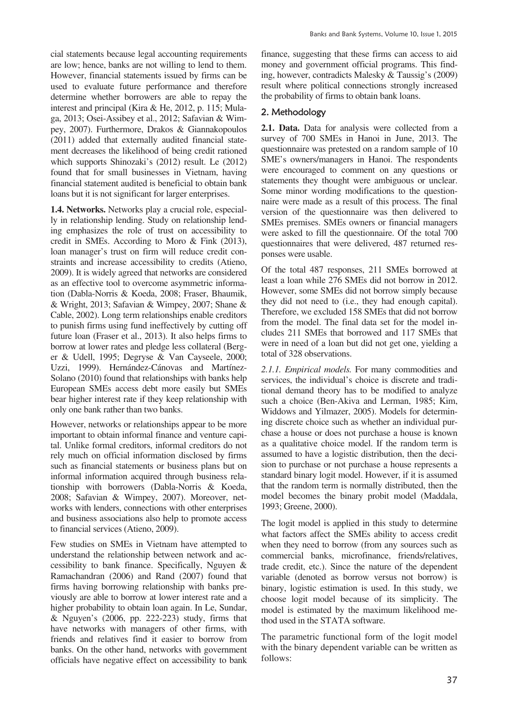cial statements because legal accounting requirements are low; hence, banks are not willing to lend to them. However, financial statements issued by firms can be used to evaluate future performance and therefore determine whether borrowers are able to repay the interest and principal (Kira & He, 2012, p. 115; Mulaga, 2013; Osei-Assibey et al., 2012; Safavian & Wimpey, 2007). Furthermore, Drakos & Giannakopoulos (2011) added that externally audited financial statement decreases the likelihood of being credit rationed which supports Shinozaki's (2012) result. Le (2012) found that for small businesses in Vietnam, having financial statement audited is beneficial to obtain bank loans but it is not significant for larger enterprises.

**1.4. Networks.** Networks play a crucial role, especially in relationship lending. Study on relationship lending emphasizes the role of trust on accessibility to credit in SMEs. According to Moro & Fink (2013), loan manager's trust on firm will reduce credit constraints and increase accessibility to credits (Atieno, 2009). It is widely agreed that networks are considered as an effective tool to overcome asymmetric information (Dabla-Norris & Koeda, 2008; Fraser, Bhaumik, & Wright, 2013; Safavian & Wimpey, 2007; Shane & Cable, 2002). Long term relationships enable creditors to punish firms using fund ineffectively by cutting off future loan (Fraser et al., 2013). It also helps firms to borrow at lower rates and pledge less collateral (Berger & Udell, 1995; Degryse & Van Cayseele, 2000; Uzzi, 1999). Hernández-Cánovas and Martínez-Solano (2010) found that relationships with banks help European SMEs access debt more easily but SMEs bear higher interest rate if they keep relationship with only one bank rather than two banks.

However, networks or relationships appear to be more important to obtain informal finance and venture capital. Unlike formal creditors, informal creditors do not rely much on official information disclosed by firms such as financial statements or business plans but on informal information acquired through business relationship with borrowers (Dabla-Norris & Koeda, 2008; Safavian & Wimpey, 2007). Moreover, networks with lenders, connections with other enterprises and business associations also help to promote access to financial services (Atieno, 2009).

Few studies on SMEs in Vietnam have attempted to understand the relationship between network and accessibility to bank finance. Specifically, Nguyen & Ramachandran (2006) and Rand (2007) found that firms having borrowing relationship with banks previously are able to borrow at lower interest rate and a higher probability to obtain loan again. In Le, Sundar, & Nguyen's (2006, pp. 222-223) study, firms that have networks with managers of other firms, with friends and relatives find it easier to borrow from banks. On the other hand, networks with government officials have negative effect on accessibility to bank

finance, suggesting that these firms can access to aid money and government official programs. This finding, however, contradicts Malesky & Taussig's (2009) result where political connections strongly increased the probability of firms to obtain bank loans.

# 2. Methodology

**2.1. Data.** Data for analysis were collected from a survey of 700 SMEs in Hanoi in June, 2013. The questionnaire was pretested on a random sample of 10 SME's owners/managers in Hanoi. The respondents were encouraged to comment on any questions or statements they thought were ambiguous or unclear. Some minor wording modifications to the questionnaire were made as a result of this process. The final version of the questionnaire was then delivered to SMEs premises. SMEs owners or financial managers were asked to fill the questionnaire. Of the total 700 questionnaires that were delivered, 487 returned responses were usable.

Of the total 487 responses, 211 SMEs borrowed at least a loan while 276 SMEs did not borrow in 2012. However, some SMEs did not borrow simply because they did not need to (i.e., they had enough capital). Therefore, we excluded 158 SMEs that did not borrow from the model. The final data set for the model includes 211 SMEs that borrowed and 117 SMEs that were in need of a loan but did not get one, yielding a total of 328 observations.

*2.1.1. Empirical models.* For many commodities and services, the individual's choice is discrete and traditional demand theory has to be modified to analyze such a choice (Ben-Akiva and Lerman, 1985; Kim, Widdows and Yilmazer, 2005). Models for determining discrete choice such as whether an individual purchase a house or does not purchase a house is known as a qualitative choice model. If the random term is assumed to have a logistic distribution, then the decision to purchase or not purchase a house represents a standard binary logit model. However, if it is assumed that the random term is normally distributed, then the model becomes the binary probit model (Maddala, 1993; Greene, 2000).

The logit model is applied in this study to determine what factors affect the SMEs ability to access credit when they need to borrow (from any sources such as commercial banks, microfinance, friends/relatives, trade credit, etc.). Since the nature of the dependent variable (denoted as borrow versus not borrow) is binary, logistic estimation is used. In this study, we choose logit model because of its simplicity. The model is estimated by the maximum likelihood method used in the STATA software.

The parametric functional form of the logit model with the binary dependent variable can be written as follows: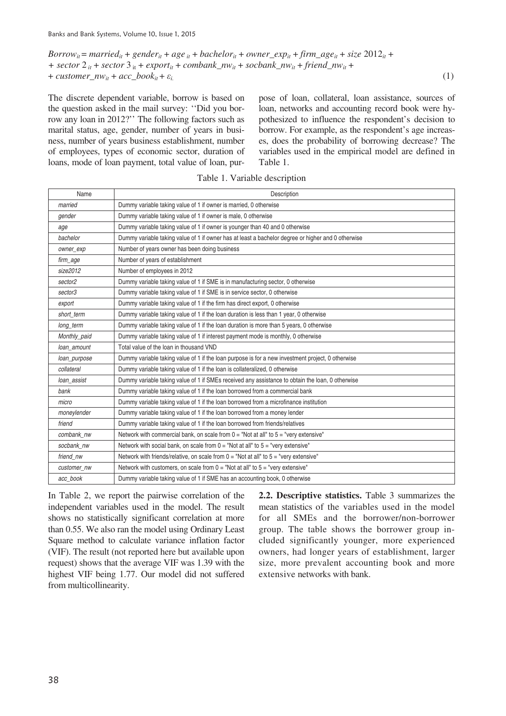*Borrow*<sub>it</sub> = *married*<sub>it</sub> + *gender*<sub>it</sub> + *age*<sub>it</sub> + *bachelor*<sub>it</sub> + *owner*\_*exp*<sub>it</sub> + *firm\_age*<sub>it</sub> + *size* 2012<sub>it</sub> +  $+$  *sector* 2  $\frac{1}{2}$  *i* + *sector* 3  $\frac{1}{2}$  *i* + *export*<sub>*it*</sub> + *combank\_nw*<sub>*it*</sub> + *socbank\_nw*<sub>*it*</sub> + *friend\_nw*<sub>*it*</sub> + +  $\textit{customer\_nw}_{ii} + \textit{acc\_book}_{ii} + \varepsilon_i$ . (1)

The discrete dependent variable, borrow is based on the question asked in the mail survey: ''Did you borrow any loan in 2012?'' The following factors such as marital status, age, gender, number of years in business, number of years business establishment, number of employees, types of economic sector, duration of loans, mode of loan payment, total value of loan, purpose of loan, collateral, loan assistance, sources of loan, networks and accounting record book were hypothesized to influence the respondent's decision to borrow. For example, as the respondent's age increases, does the probability of borrowing decrease? The variables used in the empirical model are defined in Table 1.

| Name         | Description                                                                                        |
|--------------|----------------------------------------------------------------------------------------------------|
| married      | Dummy variable taking value of 1 if owner is married, 0 otherwise                                  |
| gender       | Dummy variable taking value of 1 if owner is male, 0 otherwise                                     |
| age          | Dummy variable taking value of 1 if owner is younger than 40 and 0 otherwise                       |
| bachelor     | Dummy variable taking value of 1 if owner has at least a bachelor degree or higher and 0 otherwise |
| owner_exp    | Number of years owner has been doing business                                                      |
| firm_age     | Number of years of establishment                                                                   |
| size2012     | Number of employees in 2012                                                                        |
| sector2      | Dummy variable taking value of 1 if SME is in manufacturing sector, 0 otherwise                    |
| sector3      | Dummy variable taking value of 1 if SME is in service sector, 0 otherwise                          |
| export       | Dummy variable taking value of 1 if the firm has direct export, 0 otherwise                        |
| short term   | Dummy variable taking value of 1 if the loan duration is less than 1 year, 0 otherwise             |
| long_term    | Dummy variable taking value of 1 if the loan duration is more than 5 years, 0 otherwise            |
| Monthly_paid | Dummy variable taking value of 1 if interest payment mode is monthly, 0 otherwise                  |
| loan amount  | Total value of the loan in thousand VND                                                            |
| loan_purpose | Dummy variable taking value of 1 if the loan purpose is for a new investment project, 0 otherwise  |
| collateral   | Dummy variable taking value of 1 if the loan is collateralized, 0 otherwise                        |
| loan assist  | Dummy variable taking value of 1 if SMEs received any assistance to obtain the loan, 0 otherwise   |
| bank         | Dummy variable taking value of 1 if the loan borrowed from a commercial bank                       |
| micro        | Dummy variable taking value of 1 if the loan borrowed from a microfinance institution              |
| moneylender  | Dummy variable taking value of 1 if the loan borrowed from a money lender                          |
| friend       | Dummy variable taking value of 1 if the loan borrowed from friends/relatives                       |
| combank nw   | Network with commercial bank, on scale from $0 =$ "Not at all" to $5 =$ "very extensive"           |
| socbank nw   | Network with social bank, on scale from $0 =$ "Not at all" to $5 =$ "very extensive"               |
| friend nw    | Network with friends/relative, on scale from $0 =$ "Not at all" to $5 =$ "very extensive"          |
| customer nw  | Network with customers, on scale from $0 =$ "Not at all" to $5 =$ "very extensive"                 |
| acc book     | Dummy variable taking value of 1 if SME has an accounting book, 0 otherwise                        |

Table 1. Variable description

In Table 2, we report the pairwise correlation of the independent variables used in the model. The result shows no statistically significant correlation at more than 0.55. We also ran the model using Ordinary Least Square method to calculate variance inflation factor (VIF). The result (not reported here but available upon request) shows that the average VIF was 1.39 with the highest VIF being 1.77. Our model did not suffered from multicollinearity.

**2.2. Descriptive statistics.** Table 3 summarizes the mean statistics of the variables used in the model for all SMEs and the borrower/non-borrower group. The table shows the borrower group included significantly younger, more experienced owners, had longer years of establishment, larger size, more prevalent accounting book and more extensive networks with bank.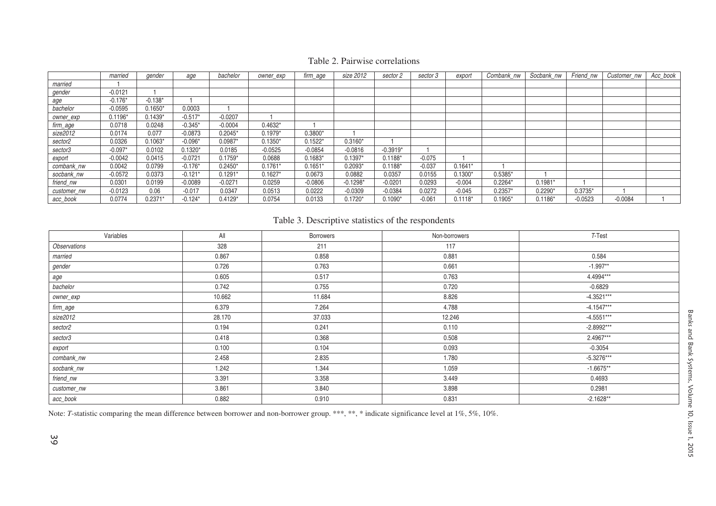|             | married   | gender    | age       | bachelor  | owner_exp | firm_age  | size 2012  | sector 2   | sector 3 | export    | Combank_nw | Socbank_nw | Friend nw | Customer_nw | Acc_book |
|-------------|-----------|-----------|-----------|-----------|-----------|-----------|------------|------------|----------|-----------|------------|------------|-----------|-------------|----------|
| married     |           |           |           |           |           |           |            |            |          |           |            |            |           |             |          |
| gender      | $-0.0121$ |           |           |           |           |           |            |            |          |           |            |            |           |             |          |
| age         | $-0.176*$ | $-0.138*$ |           |           |           |           |            |            |          |           |            |            |           |             |          |
| bachelor    | $-0.0595$ | $0.1650*$ | 0.0003    |           |           |           |            |            |          |           |            |            |           |             |          |
| owner_exp   | $0.1196*$ | $0.1439*$ | $-0.517*$ | $-0.0207$ |           |           |            |            |          |           |            |            |           |             |          |
| firm_age    | 0.0718    | 0.0248    | $-0.345*$ | $-0.0004$ | $0.4632*$ |           |            |            |          |           |            |            |           |             |          |
| size2012    | 0.0174    | 0.077     | $-0.0873$ | $0.2045*$ | $0.1979*$ | $0.3800*$ |            |            |          |           |            |            |           |             |          |
| sector2     | 0.0326    | $0.1063*$ | $-0.096*$ | $0.0987*$ | $0.1350*$ | $0.1522*$ | $0.3160*$  |            |          |           |            |            |           |             |          |
| sector3     | $-0.097*$ | 0.0102    | $0.1320*$ | 0.0185    | $-0.0525$ | $-0.0854$ | $-0.0816$  | $-0.3919*$ |          |           |            |            |           |             |          |
| export      | $-0.0042$ | 0.0415    | $-0.0721$ | $0.1759*$ | 0.0688    | $0.1683*$ | $0.1397*$  | $0.1188*$  | $-0.075$ |           |            |            |           |             |          |
| combank_nw  | 0.0042    | 0.0799    | $-0.176*$ | $0.2450*$ | $0.1761*$ | $0.1651*$ | $0.2093*$  | $0.1188*$  | $-0.037$ | $0.1641*$ |            |            |           |             |          |
| socbank_nw  | $-0.0572$ | 0.0373    | $-0.121*$ | $0.1291*$ | $0.1627*$ | 0.0673    | 0.0882     | 0.0357     | 0.0155   | $0.1300*$ | $0.5385*$  |            |           |             |          |
| friend_nw   | 0.0301    | 0.0199    | $-0.0089$ | $-0.0271$ | 0.0259    | $-0.0806$ | $-0.1298*$ | $-0.0201$  | 0.0293   | $-0.004$  | $0.2264*$  | $0.1981*$  |           |             |          |
| customer_nw | $-0.0123$ | 0.06      | $-0.017$  | 0.0347    | 0.0513    | 0.0222    | $-0.0309$  | $-0.0384$  | 0.0272   | $-0.045$  | $0.2357*$  | $0.2290*$  | $0.3735*$ |             |          |
| acc_book    | 0.0774    | 0.2371'   | $-0.124*$ | $0.4129*$ | 0.0754    | 0.0133    | $0.1720*$  | $0.1090*$  | $-0.061$ | $0.1118*$ | $0.1905*$  | $0.1186*$  | $-0.0523$ | $-0.0084$   |          |

# Table 2. Pairwise correlations

# Table 3. Descriptive statistics of the respondents

| Variables    | All    | <b>Borrowers</b> | Non-borrowers | T-Test       |
|--------------|--------|------------------|---------------|--------------|
| Observations | 328    | 211              | 117           |              |
| married      | 0.867  | 0.858            | 0.881         | 0.584        |
| gender       | 0.726  | 0.763            | 0.661         | $-1.997**$   |
| age          | 0.605  | 0.517            | 0.763         | 4.4994***    |
| bachelor     | 0.742  | 0.755            | 0.720         | $-0.6829$    |
| owner_exp    | 10.662 | 11.684           | 8.826         | $-4.3521***$ |
| firm_age     | 6.379  | 7.264            | 4.788         | $-4.1547***$ |
| size2012     | 28.170 | 37.033           | 12.246        | $-4.5551***$ |
| sector2      | 0.194  | 0.241            | 0.110         | $-2.8992***$ |
| sector3      | 0.418  | 0.368            | 0.508         | 2.4967***    |
| export       | 0.100  | 0.104            | 0.093         | $-0.3054$    |
| combank_nw   | 2.458  | 2.835            | 1.780         | $-5.3276***$ |
| socbank_nw   | 1.242  | 1.344            | 1.059         | $-1.6675**$  |
| friend_nw    | 3.391  | 3.358            | 3.449         | 0.4693       |
| customer_nw  | 3.861  | 3.840            | 3.898         | 0.2981       |
| acc_book     | 0.882  | 0.910            | 0.831         | $-2.1628**$  |

Note: *T*-statistic comparing the mean difference between borrower and non-borrower group. \*\*\*, \*\*, \* indicate significance level at 1%, 5%, 10%.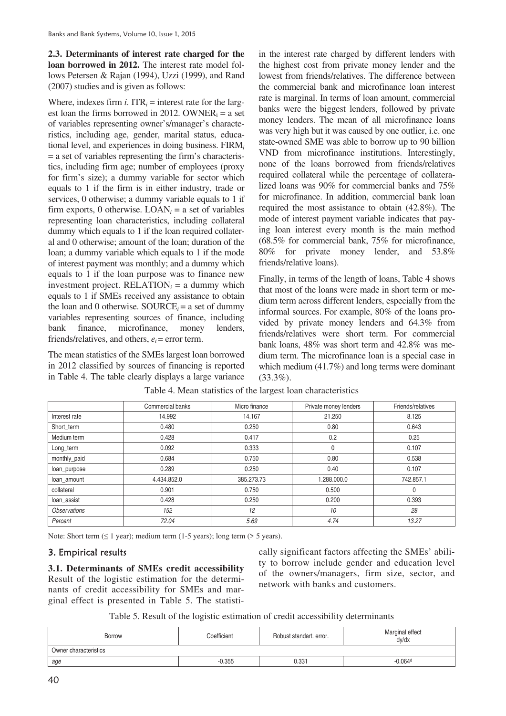**2.3. Determinants of interest rate charged for the loan borrowed in 2012.** The interest rate model follows Petersen & Rajan (1994), Uzzi (1999), and Rand (2007) studies and is given as follows:

Where, indexes firm  $i$ .  $ITR<sub>i</sub>$  = interest rate for the largest loan the firms borrowed in 2012. OWNER $_i = a$  set of variables representing owner's/manager's characteristics, including age, gender, marital status, educational level, and experiences in doing business. FIRM*<sup>i</sup>* = a set of variables representing the firm's characteristics, including firm age; number of employees (proxy for firm's size); a dummy variable for sector which equals to 1 if the firm is in either industry, trade or services, 0 otherwise; a dummy variable equals to 1 if firm exports, 0 otherwise.  $LOAN_i = a$  set of variables representing loan characteristics, including collateral dummy which equals to 1 if the loan required collateral and 0 otherwise; amount of the loan; duration of the loan; a dummy variable which equals to 1 if the mode of interest payment was monthly; and a dummy which equals to 1 if the loan purpose was to finance new investment project.  $RELATION<sub>i</sub> = a dummy which$ equals to 1 if SMEs received any assistance to obtain the loan and 0 otherwise. SOURCE $_i$  = a set of dummy variables representing sources of finance, including bank finance, microfinance, money lenders, friends/relatives, and others,  $e_i$  = error term.

The mean statistics of the SMEs largest loan borrowed in 2012 classified by sources of financing is reported in Table 4. The table clearly displays a large variance

in the interest rate charged by different lenders with the highest cost from private money lender and the lowest from friends/relatives. The difference between the commercial bank and microfinance loan interest rate is marginal. In terms of loan amount, commercial banks were the biggest lenders, followed by private money lenders. The mean of all microfinance loans was very high but it was caused by one outlier, i.e. one state-owned SME was able to borrow up to 90 billion VND from microfinance institutions. Interestingly, none of the loans borrowed from friends/relatives required collateral while the percentage of collateralized loans was 90% for commercial banks and 75% for microfinance. In addition, commercial bank loan required the most assistance to obtain (42.8%). The mode of interest payment variable indicates that paying loan interest every month is the main method (68.5% for commercial bank, 75% for microfinance, 80% for private money lender, and 53.8% friends/relative loans).

Finally, in terms of the length of loans, Table 4 shows that most of the loans were made in short term or medium term across different lenders, especially from the informal sources. For example, 80% of the loans provided by private money lenders and 64.3% from friends/relatives were short term. For commercial bank loans, 48% was short term and 42.8% was medium term. The microfinance loan is a special case in which medium (41.7%) and long terms were dominant  $(33.3\%)$ .

|                            | Commercial banks | Micro finance | Private money lenders | Friends/relatives |
|----------------------------|------------------|---------------|-----------------------|-------------------|
| Interest rate              | 14.992           | 14.167        | 21.250                | 8.125             |
| Short_term                 | 0.480            | 0.250         | 0.80                  | 0.643             |
| Medium term                | 0.428            | 0.417         | 0.2                   | 0.25              |
| Long_term                  | 0.092            | 0.333         | 0                     | 0.107             |
| monthly_paid               | 0.684            | 0.750         | 0.80                  | 0.538             |
| loan_purpose               | 0.289            | 0.250         | 0.40                  | 0.107             |
| loan amount                | 4.434.852.0      | 385.273.73    | 1.288.000.0           | 742.857.1         |
| collateral                 | 0.901            | 0.750         | 0.500                 |                   |
| loan_assist                | 0.428            | 0.250         | 0.200                 | 0.393             |
| <i><b>Observations</b></i> | 152              | 12            | 10                    | 28                |
| Percent                    | 72.04            | 5.69          | 4.74                  | 13.27             |

# Table 4. Mean statistics of the largest loan characteristics

Note: Short term  $( \leq 1$  year); medium term  $(1-5$  years); long term  $( > 5$  years).

# 3. Empirical results

**3.1. Determinants of SMEs credit accessibility**  Result of the logistic estimation for the determinants of credit accessibility for SMEs and marginal effect is presented in Table 5. The statistically significant factors affecting the SMEs' ability to borrow include gender and education level of the owners/managers, firm size, sector, and network with banks and customers.

Table 5. Result of the logistic estimation of credit accessibility determinants

| <b>Borrow</b>         | Coefficient | Robust standart, error, | Marginal effect<br>dv/dx |  |  |  |  |  |
|-----------------------|-------------|-------------------------|--------------------------|--|--|--|--|--|
| Owner characteristics |             |                         |                          |  |  |  |  |  |
| age                   | $-0.355$    | 0.331                   | $-0.064d$                |  |  |  |  |  |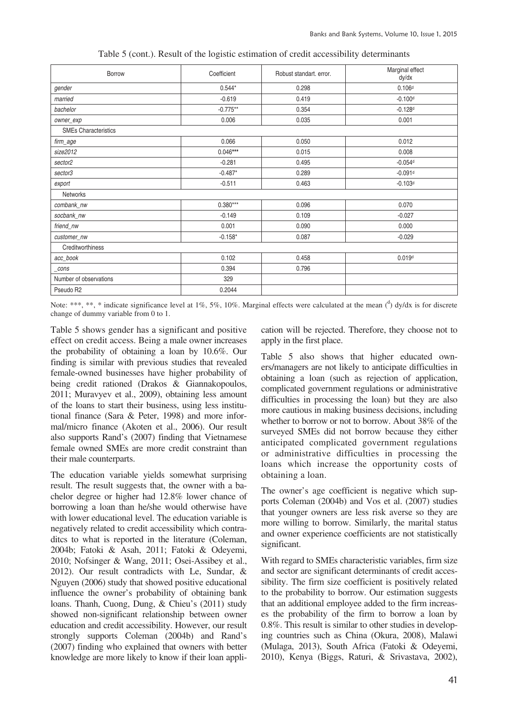| Borrow                      | Coefficient | Robust standart. error. | Marginal effect<br>dy/dx |
|-----------------------------|-------------|-------------------------|--------------------------|
| gender                      | $0.544*$    | 0.298                   | 0.106 <sup>d</sup>       |
| married                     | $-0.619$    | 0.419                   | $-0.100d$                |
| bachelor                    | $-0.775**$  | 0.354                   | $-0.128d$                |
| owner_exp                   | 0.006       | 0.035                   | 0.001                    |
| <b>SMEs Characteristics</b> |             |                         |                          |
| firm_age                    | 0.066       | 0.050                   | 0.012                    |
| size2012                    | $0.046***$  | 0.015                   | 0.008                    |
| sector2                     | $-0.281$    | 0.495                   | $-0.054d$                |
| sector3                     | $-0.487*$   | 0.289                   | $-0.091d$                |
| export                      | $-0.511$    | 0.463                   | $-0.103d$                |
| <b>Networks</b>             |             |                         |                          |
| combank_nw                  | $0.380***$  | 0.096                   | 0.070                    |
| socbank_nw                  | $-0.149$    | 0.109                   | $-0.027$                 |
| friend_nw                   | 0.001       | 0.090                   | 0.000                    |
| customer_nw                 | $-0.158*$   | 0.087                   | $-0.029$                 |
| Creditworthiness            |             |                         |                          |
| acc_book                    | 0.102       | 0.458                   | 0.019d                   |
| _cons                       | 0.394       | 0.796                   |                          |
| Number of observations      | 329         |                         |                          |
| Pseudo R2                   | 0.2044      |                         |                          |

Table 5 (cont.). Result of the logistic estimation of credit accessibility determinants

Note: \*\*\*, \*\*, \* indicate significance level at 1%, 5%, 10%. Marginal effects were calculated at the mean  $\binom{d}{l}$  dy/dx is for discrete change of dummy variable from 0 to 1.

Table 5 shows gender has a significant and positive effect on credit access. Being a male owner increases the probability of obtaining a loan by 10.6%. Our finding is similar with previous studies that revealed female-owned businesses have higher probability of being credit rationed (Drakos & Giannakopoulos, 2011; Muravyev et al., 2009), obtaining less amount of the loans to start their business, using less institutional finance (Sara & Peter, 1998) and more informal/micro finance (Akoten et al., 2006). Our result also supports Rand's (2007) finding that Vietnamese female owned SMEs are more credit constraint than their male counterparts.

The education variable yields somewhat surprising result. The result suggests that, the owner with a bachelor degree or higher had 12.8% lower chance of borrowing a loan than he/she would otherwise have with lower educational level. The education variable is negatively related to credit accessibility which contraditcs to what is reported in the literature (Coleman, 2004b; Fatoki & Asah, 2011; Fatoki & Odeyemi, 2010; Nofsinger & Wang, 2011; Osei-Assibey et al., 2012). Our result contradicts with Le, Sundar, & Nguyen (2006) study that showed positive educational influence the owner's probability of obtaining bank loans. Thanh, Cuong, Dung, & Chieu's (2011) study showed non-significant relationship between owner education and credit accessibility. However, our result strongly supports Coleman (2004b) and Rand's (2007) finding who explained that owners with better knowledge are more likely to know if their loan application will be rejected. Therefore, they choose not to apply in the first place.

Table 5 also shows that higher educated owners/managers are not likely to anticipate difficulties in obtaining a loan (such as rejection of application, complicated government regulations or administrative difficulties in processing the loan) but they are also more cautious in making business decisions, including whether to borrow or not to borrow. About 38% of the surveyed SMEs did not borrow because they either anticipated complicated government regulations or administrative difficulties in processing the loans which increase the opportunity costs of obtaining a loan.

The owner's age coefficient is negative which supports Coleman (2004b) and Vos et al. (2007) studies that younger owners are less risk averse so they are more willing to borrow. Similarly, the marital status and owner experience coefficients are not statistically significant.

With regard to SMEs characteristic variables, firm size and sector are significant determinants of credit accessibility. The firm size coefficient is positively related to the probability to borrow. Our estimation suggests that an additional employee added to the firm increases the probability of the firm to borrow a loan by 0.8%. This result is similar to other studies in developing countries such as China (Okura, 2008), Malawi (Mulaga, 2013), South Africa (Fatoki & Odeyemi, 2010), Kenya (Biggs, Raturi, & Srivastava, 2002),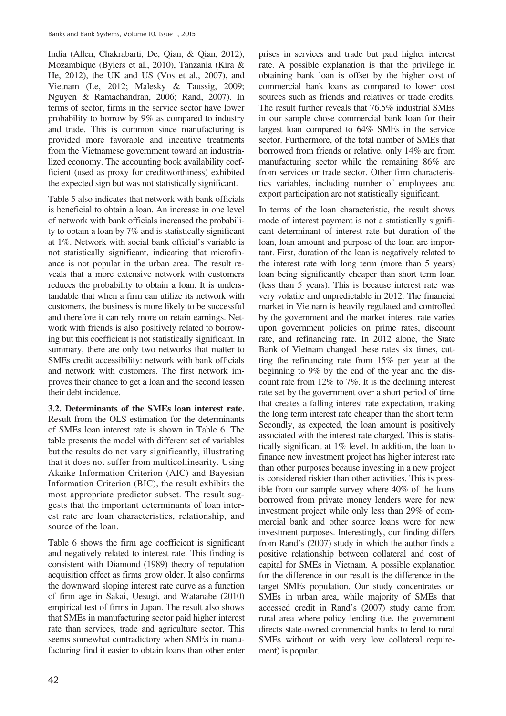India (Allen, Chakrabarti, De, Qian, & Qian, 2012), Mozambique (Byiers et al., 2010), Tanzania (Kira & He, 2012), the UK and US (Vos et al., 2007), and Vietnam (Le, 2012; Malesky & Taussig, 2009; Nguyen & Ramachandran, 2006; Rand, 2007). In terms of sector, firms in the service sector have lower probability to borrow by 9% as compared to industry and trade. This is common since manufacturing is provided more favorable and incentive treatments from the Vietnamese government toward an industrialized economy. The accounting book availability coefficient (used as proxy for creditworthiness) exhibited the expected sign but was not statistically significant.

Table 5 also indicates that network with bank officials is beneficial to obtain a loan. An increase in one level of network with bank officials increased the probability to obtain a loan by 7% and is statistically significant at 1%. Network with social bank official's variable is not statistically significant, indicating that microfinance is not popular in the urban area. The result reveals that a more extensive network with customers reduces the probability to obtain a loan. It is understandable that when a firm can utilize its network with customers, the business is more likely to be successful and therefore it can rely more on retain earnings. Network with friends is also positively related to borrowing but this coefficient is not statistically significant. In summary, there are only two networks that matter to SMEs credit accessibility: network with bank officials and network with customers. The first network improves their chance to get a loan and the second lessen their debt incidence.

**3.2. Determinants of the SMEs loan interest rate.** Result from the OLS estimation for the determinants of SMEs loan interest rate is shown in Table 6. The table presents the model with different set of variables but the results do not vary significantly, illustrating that it does not suffer from multicollinearity. Using Akaike Information Criterion (AIC) and Bayesian Information Criterion (BIC), the result exhibits the most appropriate predictor subset. The result suggests that the important determinants of loan interest rate are loan characteristics, relationship, and source of the loan.

Table 6 shows the firm age coefficient is significant and negatively related to interest rate. This finding is consistent with Diamond (1989) theory of reputation acquisition effect as firms grow older. It also confirms the downward sloping interest rate curve as a function of firm age in Sakai, Uesugi, and Watanabe (2010) empirical test of firms in Japan. The result also shows that SMEs in manufacturing sector paid higher interest rate than services, trade and agriculture sector. This seems somewhat contradictory when SMEs in manufacturing find it easier to obtain loans than other enter

prises in services and trade but paid higher interest rate. A possible explanation is that the privilege in obtaining bank loan is offset by the higher cost of commercial bank loans as compared to lower cost sources such as friends and relatives or trade credits. The result further reveals that 76.5% industrial SMEs in our sample chose commercial bank loan for their largest loan compared to 64% SMEs in the service sector. Furthermore, of the total number of SMEs that borrowed from friends or relative, only 14% are from manufacturing sector while the remaining 86% are from services or trade sector. Other firm characteristics variables, including number of employees and export participation are not statistically significant.

In terms of the loan characteristic, the result shows mode of interest payment is not a statistically significant determinant of interest rate but duration of the loan, loan amount and purpose of the loan are important. First, duration of the loan is negatively related to the interest rate with long term (more than 5 years) loan being significantly cheaper than short term loan (less than 5 years). This is because interest rate was very volatile and unpredictable in 2012. The financial market in Vietnam is heavily regulated and controlled by the government and the market interest rate varies upon government policies on prime rates, discount rate, and refinancing rate. In 2012 alone, the State Bank of Vietnam changed these rates six times, cutting the refinancing rate from 15% per year at the beginning to 9% by the end of the year and the discount rate from 12% to 7%. It is the declining interest rate set by the government over a short period of time that creates a falling interest rate expectation, making the long term interest rate cheaper than the short term. Secondly, as expected, the loan amount is positively associated with the interest rate charged. This is statistically significant at 1% level. In addition, the loan to finance new investment project has higher interest rate than other purposes because investing in a new project is considered riskier than other activities. This is possible from our sample survey where 40% of the loans borrowed from private money lenders were for new investment project while only less than 29% of commercial bank and other source loans were for new investment purposes. Interestingly, our finding differs from Rand's (2007) study in which the author finds a positive relationship between collateral and cost of capital for SMEs in Vietnam. A possible explanation for the difference in our result is the difference in the target SMEs population. Our study concentrates on SMEs in urban area, while majority of SMEs that accessed credit in Rand's (2007) study came from rural area where policy lending (i.e. the government directs state-owned commercial banks to lend to rural SMEs without or with very low collateral requirement) is popular.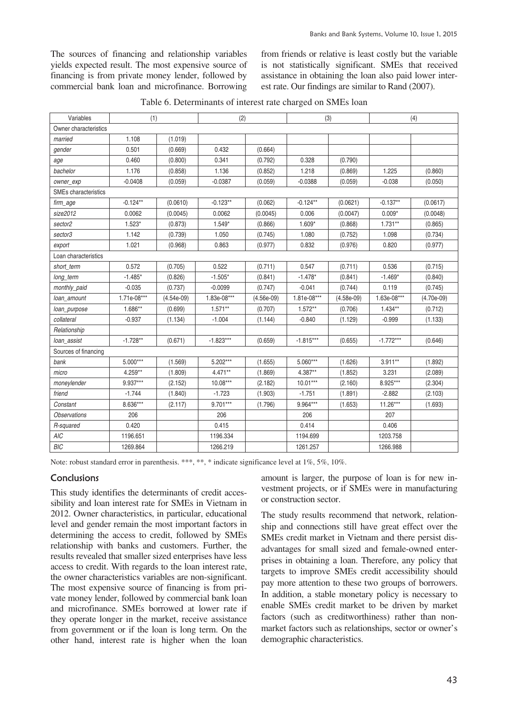The sources of financing and relationship variables yields expected result. The most expensive source of financing is from private money lender, followed by commercial bank loan and microfinance. Borrowing from friends or relative is least costly but the variable is not statistically significant. SMEs that received assistance in obtaining the loan also paid lower interest rate. Our findings are similar to Rand (2007).

| Variables                   | (1)         |              | (2)         |              | (3)         |              | (4)         |            |
|-----------------------------|-------------|--------------|-------------|--------------|-------------|--------------|-------------|------------|
| Owner characteristics       |             |              |             |              |             |              |             |            |
| married                     | 1.108       | (1.019)      |             |              |             |              |             |            |
| gender                      | 0.501       | (0.669)      | 0.432       | (0.664)      |             |              |             |            |
| age                         | 0.460       | (0.800)      | 0.341       | (0.792)      | 0.328       | (0.790)      |             |            |
| bachelor                    | 1.176       | (0.858)      | 1.136       | (0.852)      | 1.218       | (0.869)      | 1.225       | (0.860)    |
| owner_exp                   | $-0.0408$   | (0.059)      | $-0.0387$   | (0.059)      | $-0.0388$   | (0.059)      | $-0.038$    | (0.050)    |
| <b>SMEs characteristics</b> |             |              |             |              |             |              |             |            |
| firm_age                    | $-0.124**$  | (0.0610)     | $-0.123**$  | (0.062)      | $-0.124**$  | (0.0621)     | $-0.137**$  | (0.0617)   |
| size2012                    | 0.0062      | (0.0045)     | 0.0062      | (0.0045)     | 0.006       | (0.0047)     | $0.009*$    | (0.0048)   |
| sector2                     | $1.523*$    | (0.873)      | $1.549*$    | (0.866)      | $1.609*$    | (0.868)      | $1.731**$   | (0.865)    |
| sector3                     | 1.142       | (0.739)      | 1.050       | (0.745)      | 1.080       | (0.752)      | 1.098       | (0.734)    |
| export                      | 1.021       | (0.968)      | 0.863       | (0.977)      | 0.832       | (0.976)      | 0.820       | (0.977)    |
| Loan characteristics        |             |              |             |              |             |              |             |            |
| short_term                  | 0.572       | (0.705)      | 0.522       | (0.711)      | 0.547       | (0.711)      | 0.536       | (0.715)    |
| long_term                   | $-1.485*$   | (0.826)      | $-1.505*$   | (0.841)      | $-1.478*$   | (0.841)      | $-1.469*$   | (0.840)    |
| monthly_paid                | $-0.035$    | (0.737)      | $-0.0099$   | (0.747)      | $-0.041$    | (0.744)      | 0.119       | (0.745)    |
| loan_amount                 | 1.71e-08*** | $(4.54e-09)$ | 1.83e-08*** | $(4.56e-09)$ | 1.81e-08*** | $(4.58e-09)$ | 1.63e-08*** | (4.70e-09) |
| loan_purpose                | 1.686**     | (0.699)      | $1.571**$   | (0.707)      | $1.572**$   | (0.706)      | $1.434**$   | (0.712)    |
| collateral                  | $-0.937$    | (1.134)      | $-1.004$    | (1.144)      | $-0.840$    | (1.129)      | $-0.999$    | (1.133)    |
| Relationship                |             |              |             |              |             |              |             |            |
| loan_assist                 | $-1.728**$  | (0.671)      | $-1.823***$ | (0.659)      | $-1.815***$ | (0.655)      | $-1.772***$ | (0.646)    |
| Sources of financing        |             |              |             |              |             |              |             |            |
| bank                        | $5.000***$  | (1.569)      | $5.202***$  | (1.655)      | 5.060***    | (1.626)      | $3.911**$   | (1.892)    |
| micro                       | $4.259**$   | (1.809)      | $4.471**$   | (1.869)      | 4.387**     | (1.852)      | 3.231       | (2.089)    |
| moneylender                 | 9.937***    | (2.152)      | $10.08***$  | (2.182)      | $10.01***$  | (2.160)      | 8.925***    | (2.304)    |
| friend                      | $-1.744$    | (1.840)      | $-1.723$    | (1.903)      | $-1.751$    | (1.891)      | $-2.882$    | (2.103)    |
| Constant                    | 8.636***    | (2.117)      | $9.701***$  | (1.796)      | 9.964***    | (1.653)      | $11.26***$  | (1.693)    |
| <b>Observations</b>         | 206         |              | 206         |              | 206         |              | 207         |            |
| R-squared                   | 0.420       |              | 0.415       |              | 0.414       |              | 0.406       |            |
| <b>AIC</b>                  | 1196.651    |              | 1196.334    |              | 1194.699    |              | 1203.758    |            |
| BIC                         | 1269.864    |              | 1266.219    |              | 1261.257    |              | 1266.988    |            |

Table 6. Determinants of interest rate charged on SMEs loan

Note: robust standard error in parenthesis. \*\*\*, \*\*, \* indicate significance level at 1%, 5%, 10%.

# **Conclusions**

This study identifies the determinants of credit accessibility and loan interest rate for SMEs in Vietnam in 2012. Owner characteristics, in particular, educational level and gender remain the most important factors in determining the access to credit, followed by SMEs relationship with banks and customers. Further, the results revealed that smaller sized enterprises have less access to credit. With regards to the loan interest rate, the owner characteristics variables are non-significant. The most expensive source of financing is from private money lender, followed by commercial bank loan and microfinance. SMEs borrowed at lower rate if they operate longer in the market, receive assistance from government or if the loan is long term. On the other hand, interest rate is higher when the loan

amount is larger, the purpose of loan is for new investment projects, or if SMEs were in manufacturing or construction sector.

The study results recommend that network, relationship and connections still have great effect over the SMEs credit market in Vietnam and there persist disadvantages for small sized and female-owned enterprises in obtaining a loan. Therefore, any policy that targets to improve SMEs credit accessibility should pay more attention to these two groups of borrowers. In addition, a stable monetary policy is necessary to enable SMEs credit market to be driven by market factors (such as creditworthiness) rather than nonmarket factors such as relationships, sector or owner's demographic characteristics.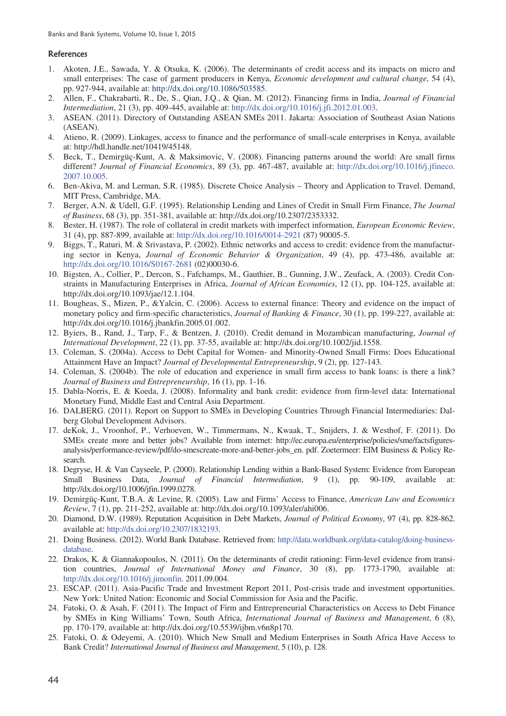#### References

- 1. Akoten, J.E., Sawada, Y. & Otsuka, K. (2006). The determinants of credit access and its impacts on micro and small enterprises: The case of garment producers in Kenya, *Economic development and cultural change*, 54 (4), pp. 927-944, available at: http://dx.doi.org/10.1086/503585.
- 2. Allen, F., Chakrabarti, R., De, S., Qian, J.Q., & Qian, M. (2012). Financing firms in India, *Journal of Financial Intermediation*, 21 (3), pp. 409-445, available at: http://dx.doi.org/10.1016/j.jfi.2012.01.003.
- 3. ASEAN. (2011). Directory of Outstanding ASEAN SMEs 2011. Jakarta: Association of Southeast Asian Nations (ASEAN).
- 4. Atieno, R. (2009). Linkages, access to finance and the performance of small-scale enterprises in Kenya, available at: http://hdl.handle.net/10419/45148.
- 5. Beck, T., Demirgüç-Kunt, A. & Maksimovic, V. (2008). Financing patterns around the world: Are small firms different? *Journal of Financial Economics*, 89 (3), pp. 467-487, available at: http://dx.doi.org/10.1016/j.jfineco. 2007.10.005.
- 6. Ben-Akiva, M. and Lerman, S.R. (1985). Discrete Choice Analysis Theory and Application to Travel. Demand, MIT Press, Cambridge, MA.
- 7. Berger, A.N. & Udell, G.F. (1995). Relationship Lending and Lines of Credit in Small Firm Finance, *The Journal of Business*, 68 (3), pp. 351-381, available at: http://dx.doi.org/10.2307/2353332.
- 8. Bester, H. (1987). The role of collateral in credit markets with imperfect information, *European Economic Review*, 31 (4), pp. 887-899, available at: http://dx.doi.org/10.1016/0014-2921 (87) 90005-5.
- 9. Biggs, T., Raturi, M. & Srivastava, P. (2002). Ethnic networks and access to credit: evidence from the manufacturing sector in Kenya, *Journal of Economic Behavior & Organization*, 49 (4), pp. 473-486, available at: http://dx.doi.org/10.1016/S0167-2681 (02)00030-6.
- 10. Bigsten, A., Collier, P., Dercon, S., Fafchamps, M., Gauthier, B., Gunning, J.W., Zeufack, A. (2003). Credit Constraints in Manufacturing Enterprises in Africa, *Journal of African Economies*, 12 (1), pp. 104-125, available at: http://dx.doi.org/10.1093/jae/12.1.104.
- 11. Bougheas, S., Mizen, P., &Yalcin, C. (2006). Access to external finance: Theory and evidence on the impact of monetary policy and firm-specific characteristics, *Journal of Banking & Finance*, 30 (1), pp. 199-227, available at: http://dx.doi.org/10.1016/j.jbankfin.2005.01.002.
- 12. Byiers, B., Rand, J., Tarp, F., & Bentzen, J. (2010). Credit demand in Mozambican manufacturing, *Journal of International Development*, 22 (1), pp. 37-55, available at: http://dx.doi.org/10.1002/jid.1558.
- 13. Coleman, S. (2004a). Access to Debt Capital for Women- and Minority-Owned Small Firms: Does Educational Attainment Have an Impact? *Journal of Developmental Entrepreneurship*, 9 (2), pp. 127-143.
- 14. Coleman, S. (2004b). The role of education and experience in small firm access to bank loans: is there a link? *Journal of Business and Entrepreneurship*, 16 (1), pp. 1-16.
- 15. Dabla-Norris, E. & Koeda, J. (2008). Informality and bank credit: evidence from firm-level data: International Monetary Fund, Middle East and Central Asia Department.
- 16. DALBERG. (2011). Report on Support to SMEs in Developing Countries Through Financial Intermediaries: Dalberg Global Development Advisors.
- 17. deKok, J., Vroonhof, P., Verhoeven, W., Timmermans, N., Kwaak, T., Snijders, J. & Westhof, F. (2011). Do SMEs create more and better jobs? Available from internet: http://ec.europa.eu/enterprise/policies/sme/factsfiguresanalysis/performance-review/pdf/do-smescreate-more-and-better-jobs\_en. pdf. Zoetermeer: EIM Business & Policy Research.
- 18. Degryse, H. & Van Cayseele, P. (2000). Relationship Lending within a Bank-Based System: Evidence from European Small Business Data, *Journal of Financial Intermediation*, 9 (1), pp. 90-109, available at: http://dx.doi.org/10.1006/jfin.1999.0278.
- 19. Demirgüç-Kunt, T.B.A. & Levine, R. (2005). Law and Firms' Access to Finance, *American Law and Economics Review*, 7 (1), pp. 211-252, available at: http://dx.doi.org/10.1093/aler/ahi006.
- 20. Diamond, D.W. (1989). Reputation Acquisition in Debt Markets, *Journal of Political Economy*, 97 (4), pp. 828-862. available at: http://dx.doi.org/10.2307/1832193.
- 21. Doing Business. (2012). World Bank Database. Retrieved from: http://data.worldbank.org/data-catalog/doing-businessdatabase.
- 22. Drakos, K. & Giannakopoulos, N. (2011). On the determinants of credit rationing: Firm-level evidence from transition countries, *Journal of International Money and Finance*, 30 (8), pp. 1773-1790, available at: http://dx.doi.org/10.1016/j.jimonfin. 2011.09.004.
- 23. ESCAP. (2011). Asia-Pacific Trade and Investment Report 2011, Post-crisis trade and investment opportunities. New York: United Nation: Economic and Social Commission for Asia and the Pacific.
- 24. Fatoki, O. & Asah, F. (2011). The Impact of Firm and Entrepreneurial Characteristics on Access to Debt Finance by SMEs in King Williams' Town, South Africa, *International Journal of Business and Management*, 6 (8), pp. 170-179, available at: http://dx.doi.org/10.5539/ijbm.v6n8p170.
- 25. Fatoki, O. & Odeyemi, A. (2010). Which New Small and Medium Enterprises in South Africa Have Access to Bank Credit? *International Journal of Business and Management*, 5 (10), p. 128.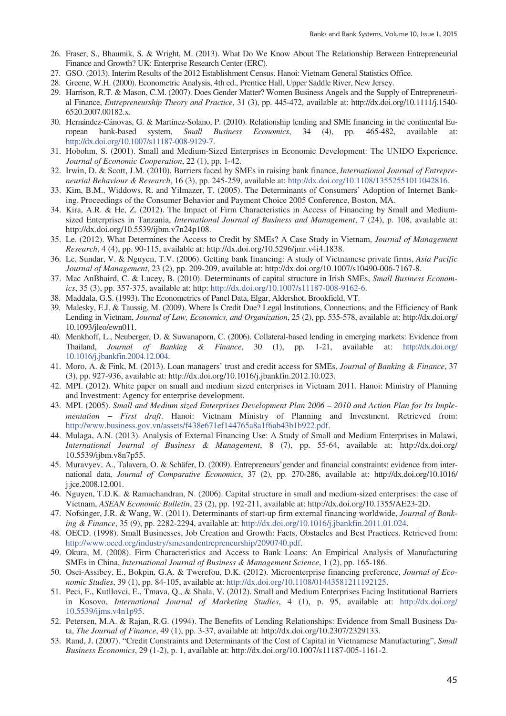- 26. Fraser, S., Bhaumik, S. & Wright, M. (2013). What Do We Know About The Relationship Between Entrepreneurial Finance and Growth? UK: Enterprise Research Center (ERC).
- 27. GSO. (2013). Interim Results of the 2012 Establishment Census. Hanoi: Vietnam General Statistics Office.
- 28. Greene, W.H. (2000). Econometric Analysis, 4th ed., Prentice Hall, Upper Saddle River, New Jersey.
- 29. Harrison, R.T. & Mason, C.M. (2007). Does Gender Matter? Women Business Angels and the Supply of Entrepreneurial Finance, *Entrepreneurship Theory and Practice*, 31 (3), pp. 445-472, available at: http://dx.doi.org/10.1111/j.1540- 6520.2007.00182.x.
- 30. Hernández-Cánovas, G. & Martínez-Solano, P. (2010). Relationship lending and SME financing in the continental European bank-based system, *Small Business Economics*, 34 (4), pp. 465-482, available at: http://dx.doi.org/10.1007/s11187-008-9129-7.
- 31. Hobohm, S. (2001). Small and Medium-Sized Enterprises in Economic Development: The UNIDO Experience. *Journal of Economic Cooperation*, 22 (1), pp. 1-42.
- 32. Irwin, D. & Scott, J.M. (2010). Barriers faced by SMEs in raising bank finance, *International Journal of Entrepreneurial Behaviour & Research*, 16 (3), pp. 245-259, available at: http://dx.doi.org/10.1108/13552551011042816.
- 33. Kim, B.M., Widdows, R. and Yilmazer, T. (2005). The Determinants of Consumers' Adoption of Internet Banking. Proceedings of the Consumer Behavior and Payment Choice 2005 Conference, Boston, MA.
- 34. Kira, A.R. & He, Z. (2012). The Impact of Firm Characteristics in Access of Financing by Small and Mediumsized Enterprises in Tanzania, *International Journal of Business and Management*, 7 (24), p. 108, available at: http://dx.doi.org/10.5539/ijbm.v7n24p108.
- 35. Le. (2012). What Determines the Access to Credit by SMEs? A Case Study in Vietnam, *Journal of Management Research*, 4 (4), pp. 90-115, available at: http://dx.doi.org/10.5296/jmr.v4i4.1838.
- 36. Le, Sundar, V. & Nguyen, T.V. (2006). Getting bank financing: A study of Vietnamese private firms, *Asia Pacific Journal of Management*, 23 (2), pp. 209-209, available at: http://dx.doi.org/10.1007/s10490-006-7167-8.
- 37. Mac AnBhaird, C. & Lucey, B. (2010). Determinants of capital structure in Irish SMEs, *Small Business Economics*, 35 (3), pp. 357-375, available at: http: http://dx.doi.org/10.1007/s11187-008-9162-6.
- 38. Maddala, G.S. (1993). The Econometrics of Panel Data, Elgar, Aldershot, Brookfield, VT.
- 39. Malesky, E.J. & Taussig, M. (2009). Where Is Credit Due? Legal Institutions, Connections, and the Efficiency of Bank Lending in Vietnam, *Journal of Law, Economics, and Organization*, 25 (2), pp. 535-578, available at: http://dx.doi.org/ 10.1093/jleo/ewn011.
- 40. Menkhoff, L., Neuberger, D. & Suwanaporn, C. (2006). Collateral-based lending in emerging markets: Evidence from Thailand, *Journal of Banking & Finance*, 30 (1), pp. 1-21, available at: http://dx.doi.org/ 10.1016/j.jbankfin.2004.12.004.
- 41. Moro, A. & Fink, M. (2013). Loan managers' trust and credit access for SMEs, *Journal of Banking & Finance*, 37 (3), pp. 927-936, available at: http://dx.doi.org/10.1016/j.jbankfin.2012.10.023.
- 42. MPI. (2012). White paper on small and medium sized enterprises in Vietnam 2011. Hanoi: Ministry of Planning and Investment: Agency for enterprise development.
- 43. MPI. (2005). *Small and Medium sized Enterprises Development Plan 2006 2010 and Action Plan for Its Implementation - First draft*. Hanoi: Vietnam Ministry of Planning and Investment. Retrieved from: http://www.business.gov.vn/assets/f438e671ef144765a8a1f6ab43b1b922.pdf.
- 44. Mulaga, A.N. (2013). Analysis of External Financing Use: A Study of Small and Medium Enterprises in Malawi, *International Journal of Business & Management*, 8 (7), pp. 55-64, available at: http://dx.doi.org/ 10.5539/ijbm.v8n7p55.
- 45. Muravyev, A., Talavera, O. & Schäfer, D. (2009). Entrepreneurs'gender and financial constraints: evidence from international data, *Journal of Comparative Economics*, 37 (2), pp. 270-286, available at: http://dx.doi.org/10.1016/ j.jce.2008.12.001.
- 46. Nguyen, T.D.K. & Ramachandran, N. (2006). Capital structure in small and medium-sized enterprises: the case of Vietnam, *ASEAN Economic Bulletin*, 23 (2), pp. 192-211, available at: http://dx.doi.org/10.1355/AE23-2D.
- 47. Nofsinger, J.R. & Wang, W. (2011). Determinants of start-up firm external financing worldwide, *Journal of Banking & Finance*, 35 (9), pp. 2282-2294, available at: http://dx.doi.org/10.1016/j.jbankfin.2011.01.024.
- 48. OECD. (1998). Small Businesses, Job Creation and Growth: Facts, Obstacles and Best Practices. Retrieved from: http://www.oecd.org/industry/smesandentrepreneurship/2090740.pdf.
- 49. Okura, M. (2008). Firm Characteristics and Access to Bank Loans: An Empirical Analysis of Manufacturing SMEs in China, *International Journal of Business & Management Science*, 1 (2), pp. 165-186.
- 50. Osei-Assibey, E., Bokpin, G.A. & Twerefou, D.K. (2012). Microenterprise financing preference, *Journal of Economic Studies*, 39 (1), pp. 84-105, available at: http://dx.doi.org/10.1108/01443581211192125.
- 51. Peci, F., Kutllovci, E., Tmava, Q., & Shala, V. (2012). Small and Medium Enterprises Facing Institutional Barriers in Kosovo, *International Journal of Marketing Studies*, 4 (1), p. 95, available at: http://dx.doi.org/ 10.5539/ijms.v4n1p95.
- 52. Petersen, M.A. & Rajan, R.G. (1994). The Benefits of Lending Relationships: Evidence from Small Business Data, *The Journal of Finance*, 49 (1), pp. 3-37, available at: http://dx.doi.org/10.2307/2329133.
- 53. Rand, J. (2007). "Credit Constraints and Determinants of the Cost of Capital in Vietnamese Manufacturing", *Small Business Economics*, 29 (1-2), p. 1, available at: http://dx.doi.org/10.1007/s11187-005-1161-2.